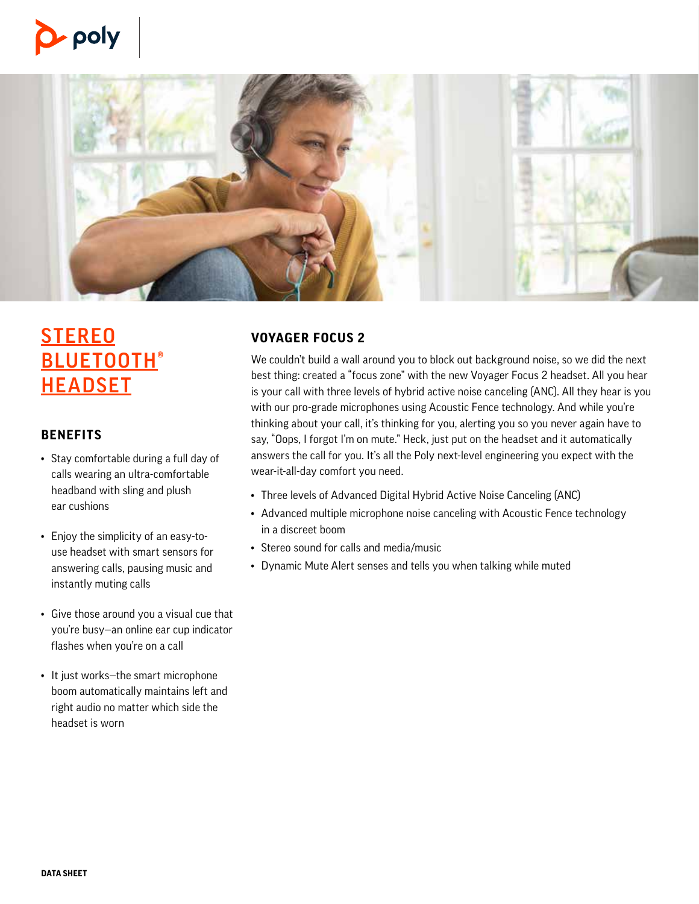



# **STEREO BLUETOOTH® HEADSET**

# **BENEFITS**

- Stay comfortable during a full day of calls wearing an ultra-comfortable headband with sling and plush ear cushions
- Enjoy the simplicity of an easy-touse headset with smart sensors for answering calls, pausing music and instantly muting calls
- Give those around you a visual cue that you're busy—an online ear cup indicator flashes when you're on a call
- It just works—the smart microphone boom automatically maintains left and right audio no matter which side the headset is worn

# **VOYAGER FOCUS 2**

We couldn't build a wall around you to block out background noise, so we did the next best thing: created a "focus zone" with the new Voyager Focus 2 headset. All you hear is your call with three levels of hybrid active noise canceling (ANC). All they hear is you with our pro-grade microphones using Acoustic Fence technology. And while you're thinking about your call, it's thinking for you, alerting you so you never again have to say, "Oops, I forgot I'm on mute." Heck, just put on the headset and it automatically answers the call for you. It's all the Poly next-level engineering you expect with the wear-it-all-day comfort you need.

- Three levels of Advanced Digital Hybrid Active Noise Canceling (ANC)
- Advanced multiple microphone noise canceling with Acoustic Fence technology in a discreet boom
- Stereo sound for calls and media/music
- Dynamic Mute Alert senses and tells you when talking while muted